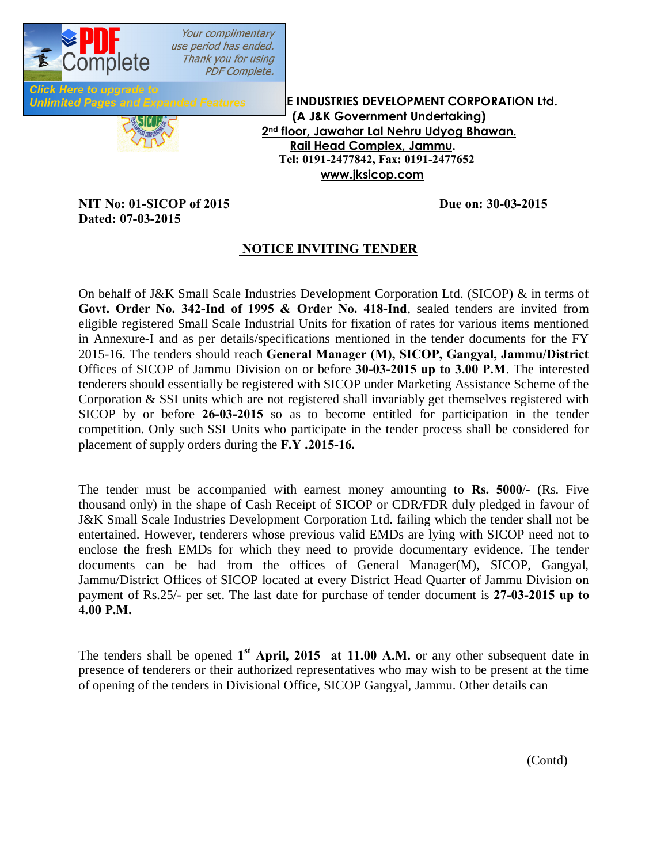

**Inded Features EINDUSTRIES DEVELOPMENT CORPORATION Ltd. (A J&K Government Undertaking) 2nd floor, Jawahar Lal Nehru Udyog Bhawan. Rail Head Complex, Jammu. Tel: 0191-2477842, Fax: 0191-2477652 www.jksicop.com**

## **NIT No: 01-SICOP of 2015 Due on: 30-03-2015 Dated: 07-03-2015**

### **NOTICE INVITING TENDER**

On behalf of J&K Small Scale Industries Development Corporation Ltd. (SICOP) & in terms of **Govt. Order No. 342-Ind of 1995 & Order No. 418-Ind**, sealed tenders are invited from eligible registered Small Scale Industrial Units for fixation of rates for various items mentioned in Annexure-I and as per details/specifications mentioned in the tender documents for the FY 2015-16. The tenders should reach **General Manager (M), SICOP, Gangyal, Jammu/District** Offices of SICOP of Jammu Division on or before **30-03-2015 up to 3.00 P.M**. The interested tenderers should essentially be registered with SICOP under Marketing Assistance Scheme of the Corporation & SSI units which are not registered shall invariably get themselves registered with SICOP by or before **26-03-2015** so as to become entitled for participation in the tender competition. Only such SSI Units who participate in the tender process shall be considered for placement of supply orders during the **F.Y .2015-16.**

The tender must be accompanied with earnest money amounting to **Rs. 5000**/- (Rs. Five thousand only) in the shape of Cash Receipt of SICOP or CDR/FDR duly pledged in favour of J&K Small Scale Industries Development Corporation Ltd. failing which the tender shall not be entertained. However, tenderers whose previous valid EMDs are lying with SICOP need not to enclose the fresh EMDs for which they need to provide documentary evidence. The tender documents can be had from the offices of General Manager(M), SICOP, Gangyal, Jammu/District Offices of SICOP located at every District Head Quarter of Jammu Division on payment of Rs.25/- per set. The last date for purchase of tender document is **27-03-2015 up to 4.00 P.M.**

The tenders shall be opened 1<sup>st</sup> **April, 2015** at 11.00 **A.M.** or any other subsequent date in presence of tenderers or their authorized representatives who may wish to be present at the time of opening of the tenders in Divisional Office, SICOP Gangyal, Jammu. Other details can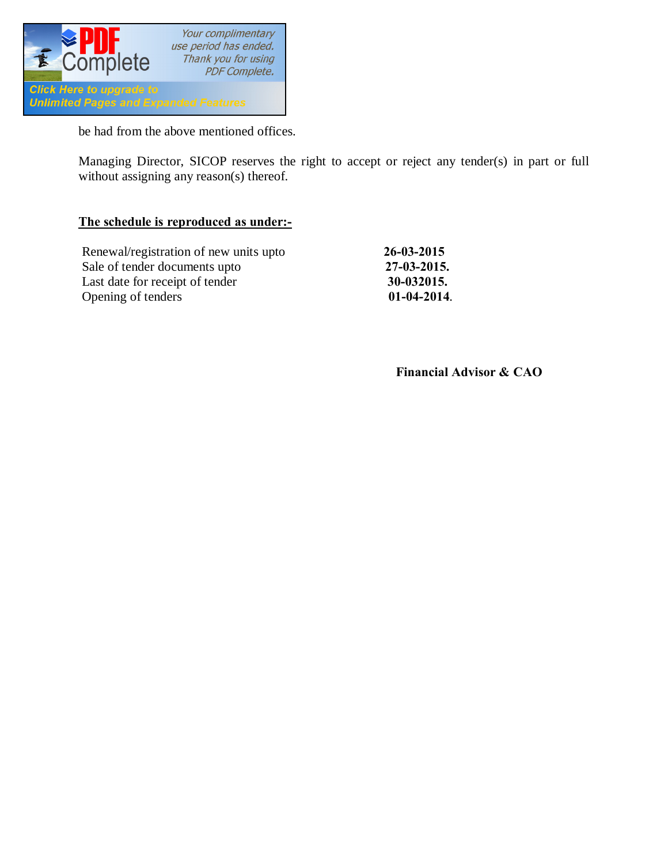

be had from the above mentioned offices.

Managing Director, SICOP reserves the right to accept or reject any tender(s) in part or full without assigning any reason(s) thereof.

#### **The schedule is reproduced as under:-**

| Renewal/registration of new units upto | $26 - 03 - 2015$ |
|----------------------------------------|------------------|
| Sale of tender documents upto          | 27-03-2015.      |
| Last date for receipt of tender        | 30-032015.       |
| Opening of tenders                     | $01-04-2014.$    |

 **Financial Advisor & CAO**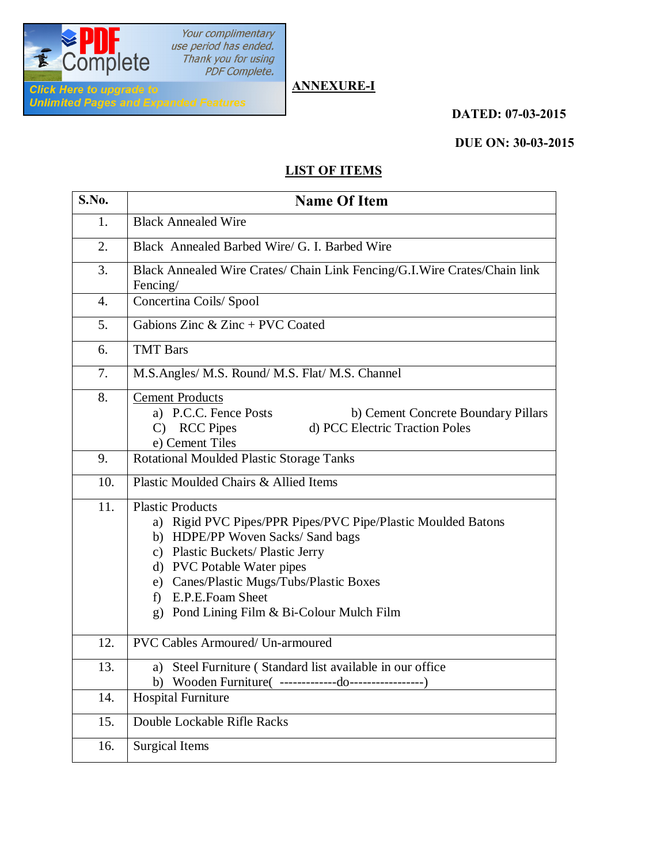

Your complimentary<br>use period has ended.<br>Thank you for using<br>PDF Complete.

# **ANNEXURE-I**

 **DATED: 07-03-2015**

#### **DUE ON: 30-03-2015**

## **LIST OF ITEMS**

| S.No.            | <b>Name Of Item</b>                                                                                                                                                                                                                                                                                              |
|------------------|------------------------------------------------------------------------------------------------------------------------------------------------------------------------------------------------------------------------------------------------------------------------------------------------------------------|
| 1.               | <b>Black Annealed Wire</b>                                                                                                                                                                                                                                                                                       |
| 2.               | Black Annealed Barbed Wire/ G. I. Barbed Wire                                                                                                                                                                                                                                                                    |
| 3.               | Black Annealed Wire Crates/ Chain Link Fencing/G.I.Wire Crates/Chain link<br>Fencing/                                                                                                                                                                                                                            |
| $\overline{4}$ . | Concertina Coils/ Spool                                                                                                                                                                                                                                                                                          |
| 5.               | Gabions Zinc $&$ Zinc + PVC Coated                                                                                                                                                                                                                                                                               |
| 6.               | <b>TMT Bars</b>                                                                                                                                                                                                                                                                                                  |
| 7.               | M.S.Angles/ M.S. Round/ M.S. Flat/ M.S. Channel                                                                                                                                                                                                                                                                  |
| 8.               | <b>Cement Products</b><br>a) P.C.C. Fence Posts<br>b) Cement Concrete Boundary Pillars<br>C) RCC Pipes<br>d) PCC Electric Traction Poles<br>e) Cement Tiles                                                                                                                                                      |
| 9.               | Rotational Moulded Plastic Storage Tanks                                                                                                                                                                                                                                                                         |
| 10.              | Plastic Moulded Chairs & Allied Items                                                                                                                                                                                                                                                                            |
| 11.              | <b>Plastic Products</b><br>a) Rigid PVC Pipes/PPR Pipes/PVC Pipe/Plastic Moulded Batons<br>b) HDPE/PP Woven Sacks/ Sand bags<br>c) Plastic Buckets/ Plastic Jerry<br>d) PVC Potable Water pipes<br>e) Canes/Plastic Mugs/Tubs/Plastic Boxes<br>f) E.P.E.Foam Sheet<br>g) Pond Lining Film & Bi-Colour Mulch Film |
| 12.              | <b>PVC Cables Armoured/ Un-armoured</b>                                                                                                                                                                                                                                                                          |
| 13.              | a) Steel Furniture (Standard list available in our office                                                                                                                                                                                                                                                        |
| 14.              | <b>Hospital Furniture</b>                                                                                                                                                                                                                                                                                        |
| 15.              | Double Lockable Rifle Racks                                                                                                                                                                                                                                                                                      |
| 16.              | <b>Surgical Items</b>                                                                                                                                                                                                                                                                                            |